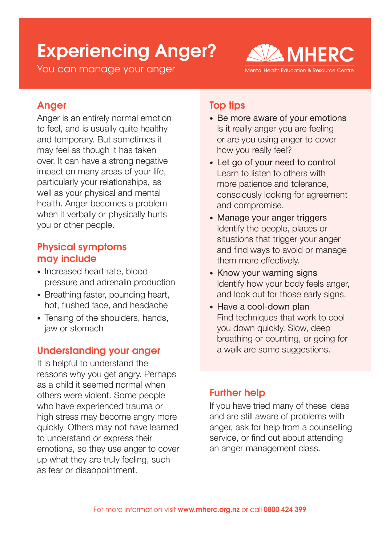# Experiencing Anger?

You can manage your anger



# Anger

Anger is an entirely normal emotion to feel, and is usually quite healthy and temporary. But sometimes it may feel as though it has taken over. It can have a strong negative impact on many areas of your life, particularly your relationships, as well as your physical and mental health. Anger becomes a problem when it verbally or physically hurts you or other people.

### Physical symptoms may include

- Increased heart rate, blood pressure and adrenalin production
- Breathing faster, pounding heart, hot, flushed face, and headache
- Tensing of the shoulders, hands, jaw or stomach

# Understanding your anger

It is helpful to understand the reasons why you get angry. Perhaps as a child it seemed normal when others were violent. Some people who have experienced trauma or high stress may become angry more quickly. Others may not have learned to understand or express their emotions, so they use anger to cover up what they are truly feeling, such as fear or disappointment.

# Top tips

- Be more aware of your emotions Is it really anger you are feeling or are you using anger to cover how you really feel?
- Let go of your need to control Learn to listen to others with more patience and tolerance, consciously looking for agreement and compromise.
- Manage your anger triggers Identify the people, places or situations that trigger your anger and find ways to avoid or manage them more effectively.
- Know your warning signs Identify how your body feels anger, and look out for those early signs.
- Have a cool-down plan Find techniques that work to cool you down quickly. Slow, deep breathing or counting, or going for a walk are some suggestions.

# Further help

If you have tried many of these ideas and are still aware of problems with anger, ask for help from a counselling service, or find out about attending an anger management class.